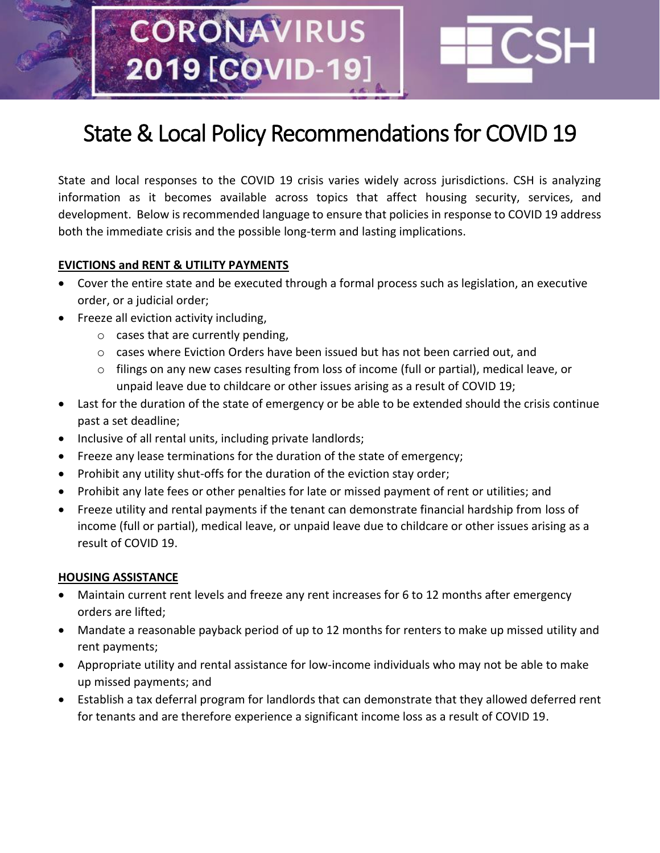# **CORONAVIRUS** 2019 [COVID-19

## State & Local Policy Recommendations for COVID 19

State and local responses to the COVID 19 crisis varies widely across jurisdictions. CSH is analyzing information as it becomes available across topics that affect housing security, services, and development. Below is recommended language to ensure that policies in response to COVID 19 address both the immediate crisis and the possible long-term and lasting implications.

#### **EVICTIONS and RENT & UTILITY PAYMENTS**

- Cover the entire state and be executed through a formal process such as legislation, an executive order, or a judicial order;
- Freeze all eviction activity including,
	- $\circ$  cases that are currently pending,
	- $\circ$  cases where Eviction Orders have been issued but has not been carried out, and
	- $\circ$  filings on any new cases resulting from loss of income (full or partial), medical leave, or unpaid leave due to childcare or other issues arising as a result of COVID 19;
- Last for the duration of the state of emergency or be able to be extended should the crisis continue past a set deadline;
- Inclusive of all rental units, including private landlords;
- Freeze any lease terminations for the duration of the state of emergency;
- Prohibit any utility shut-offs for the duration of the eviction stay order;
- Prohibit any late fees or other penalties for late or missed payment of rent or utilities; and
- Freeze utility and rental payments if the tenant can demonstrate financial hardship from loss of income (full or partial), medical leave, or unpaid leave due to childcare or other issues arising as a result of COVID 19.

#### **HOUSING ASSISTANCE**

- Maintain current rent levels and freeze any rent increases for 6 to 12 months after emergency orders are lifted;
- Mandate a reasonable payback period of up to 12 months for renters to make up missed utility and rent payments;
- Appropriate utility and rental assistance for low-income individuals who may not be able to make up missed payments; and
- Establish a tax deferral program for landlords that can demonstrate that they allowed deferred rent for tenants and are therefore experience a significant income loss as a result of COVID 19.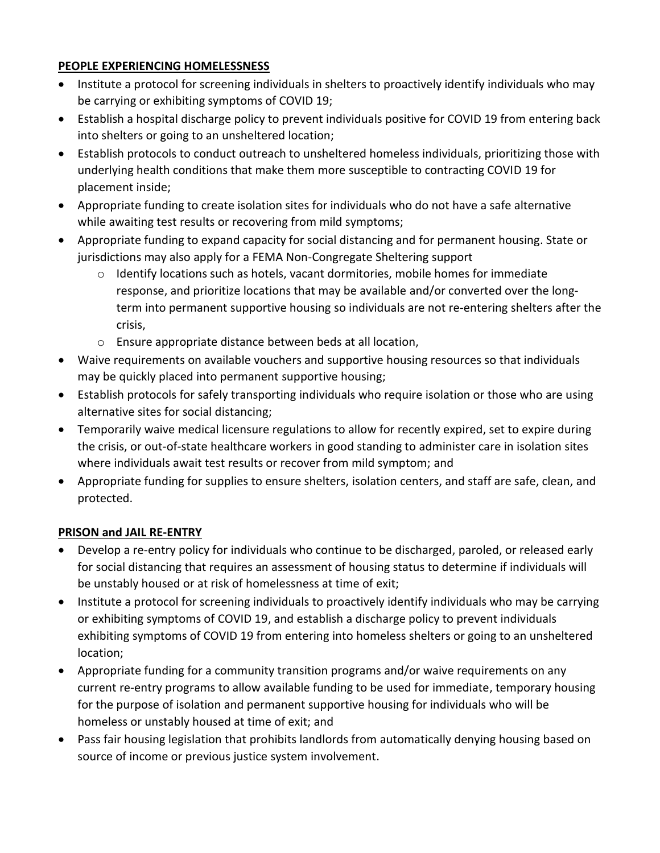#### **PEOPLE EXPERIENCING HOMELESSNESS**

- Institute a protocol for screening individuals in shelters to proactively identify individuals who may be carrying or exhibiting symptoms of COVID 19;
- Establish a hospital discharge policy to prevent individuals positive for COVID 19 from entering back into shelters or going to an unsheltered location;
- Establish protocols to conduct outreach to unsheltered homeless individuals, prioritizing those with underlying health conditions that make them more susceptible to contracting COVID 19 for placement inside;
- Appropriate funding to create isolation sites for individuals who do not have a safe alternative while awaiting test results or recovering from mild symptoms;
- Appropriate funding to expand capacity for social distancing and for permanent housing. State or jurisdictions may also apply for a FEMA Non-Congregate Sheltering support
	- $\circ$  Identify locations such as hotels, vacant dormitories, mobile homes for immediate response, and prioritize locations that may be available and/or converted over the longterm into permanent supportive housing so individuals are not re-entering shelters after the crisis,
	- o Ensure appropriate distance between beds at all location,
- Waive requirements on available vouchers and supportive housing resources so that individuals may be quickly placed into permanent supportive housing;
- Establish protocols for safely transporting individuals who require isolation or those who are using alternative sites for social distancing;
- Temporarily waive medical licensure regulations to allow for recently expired, set to expire during the crisis, or out-of-state healthcare workers in good standing to administer care in isolation sites where individuals await test results or recover from mild symptom; and
- Appropriate funding for supplies to ensure shelters, isolation centers, and staff are safe, clean, and protected.

### **PRISON and JAIL RE-ENTRY**

- Develop a re-entry policy for individuals who continue to be discharged, paroled, or released early for social distancing that requires an assessment of housing status to determine if individuals will be unstably housed or at risk of homelessness at time of exit;
- Institute a protocol for screening individuals to proactively identify individuals who may be carrying or exhibiting symptoms of COVID 19, and establish a discharge policy to prevent individuals exhibiting symptoms of COVID 19 from entering into homeless shelters or going to an unsheltered location;
- Appropriate funding for a community transition programs and/or waive requirements on any current re-entry programs to allow available funding to be used for immediate, temporary housing for the purpose of isolation and permanent supportive housing for individuals who will be homeless or unstably housed at time of exit; and
- Pass fair housing legislation that prohibits landlords from automatically denying housing based on source of income or previous justice system involvement.